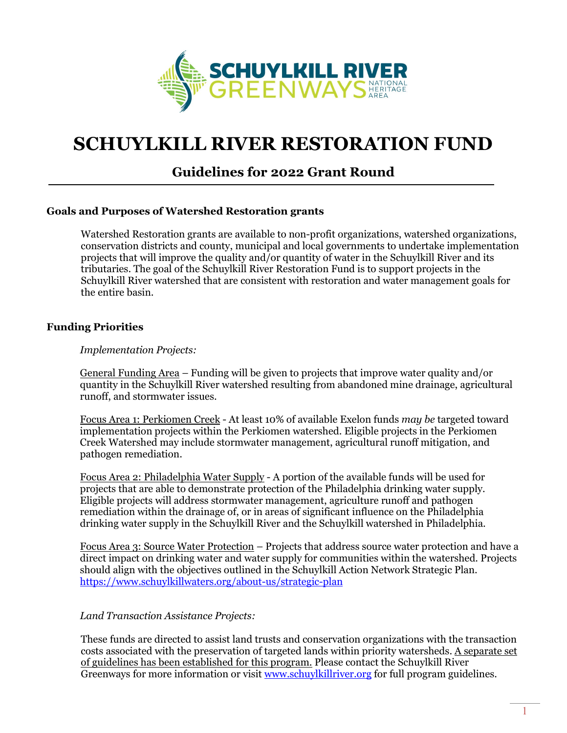

# **SCHUYLKILL RIVER RESTORATION FUND**

# **Guidelines for 2022 Grant Round**

## **Goals and Purposes of Watershed Restoration grants**

Watershed Restoration grants are available to non-profit organizations, watershed organizations, conservation districts and county, municipal and local governments to undertake implementation projects that will improve the quality and/or quantity of water in the Schuylkill River and its tributaries. The goal of the Schuylkill River Restoration Fund is to support projects in the Schuylkill River watershed that are consistent with restoration and water management goals for the entire basin.

## **Funding Priorities**

#### *Implementation Projects:*

General Funding Area – Funding will be given to projects that improve water quality and/or quantity in the Schuylkill River watershed resulting from abandoned mine drainage, agricultural runoff, and stormwater issues.

Focus Area 1: Perkiomen Creek - At least 10% of available Exelon funds *may be* targeted toward implementation projects within the Perkiomen watershed. Eligible projects in the Perkiomen Creek Watershed may include stormwater management, agricultural runoff mitigation, and pathogen remediation.

Focus Area 2: Philadelphia Water Supply - A portion of the available funds will be used for projects that are able to demonstrate protection of the Philadelphia drinking water supply. Eligible projects will address stormwater management, agriculture runoff and pathogen remediation within the drainage of, or in areas of significant influence on the Philadelphia drinking water supply in the Schuylkill River and the Schuylkill watershed in Philadelphia.

Focus Area 3: Source Water Protection – Projects that address source water protection and have a direct impact on drinking water and water supply for communities within the watershed. Projects should align with the objectives outlined in the Schuylkill Action Network Strategic Plan. <https://www.schuylkillwaters.org/about-us/strategic-plan>

#### *Land Transaction Assistance Projects:*

These funds are directed to assist land trusts and conservation organizations with the transaction costs associated with the preservation of targeted lands within priority watersheds. A separate set of guidelines has been established for this program. Please contact the Schuylkill River Greenways for more information or visit [www.schuylkillriver.org](http://www.schuylkillriver.org/) for full program guidelines.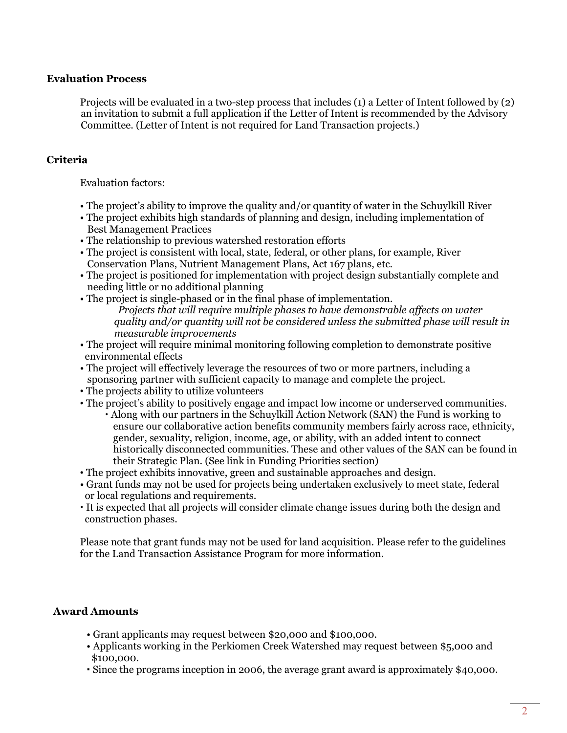# **Evaluation Process**

Projects will be evaluated in a two-step process that includes (1) a Letter of Intent followed by (2) an invitation to submit a full application if the Letter of Intent is recommended by the Advisory Committee. (Letter of Intent is not required for Land Transaction projects.)

# **Criteria**

Evaluation factors:

- The project's ability to improve the quality and/or quantity of water in the Schuylkill River
- The project exhibits high standards of planning and design, including implementation of Best Management Practices
- The relationship to previous watershed restoration efforts
- The project is consistent with local, state, federal, or other plans, for example, River Conservation Plans, Nutrient Management Plans, Act 167 plans, etc.
- The project is positioned for implementation with project design substantially complete and needing little or no additional planning
- The project is single-phased or in the final phase of implementation.
	- *Projects that will require multiple phases to have demonstrable affects on water quality and/or quantity will not be considered unless the submitted phase will result in measurable improvements*
- The project will require minimal monitoring following completion to demonstrate positive environmental effects
- The project will effectively leverage the resources of two or more partners, including a sponsoring partner with sufficient capacity to manage and complete the project.
- The projects ability to utilize volunteers
- The project's ability to positively engage and impact low income or underserved communities.
	- Along with our partners in the Schuylkill Action Network (SAN) the Fund is working to ensure our collaborative action benefits community members fairly across race, ethnicity, gender, sexuality, religion, income, age, or ability, with an added intent to connect historically disconnected communities. These and other values of the SAN can be found in their Strategic Plan. (See link in Funding Priorities section)
- The project exhibits innovative, green and sustainable approaches and design.
- Grant funds may not be used for projects being undertaken exclusively to meet state, federal or local regulations and requirements.
- It is expected that all projects will consider climate change issues during both the design and construction phases.

Please note that grant funds may not be used for land acquisition. Please refer to the guidelines for the Land Transaction Assistance Program for more information.

# **Award Amounts**

- Grant applicants may request between \$20,000 and \$100,000.
- Applicants working in the Perkiomen Creek Watershed may request between \$5,000 and \$100,000.
- Since the programs inception in 2006, the average grant award is approximately \$40,000.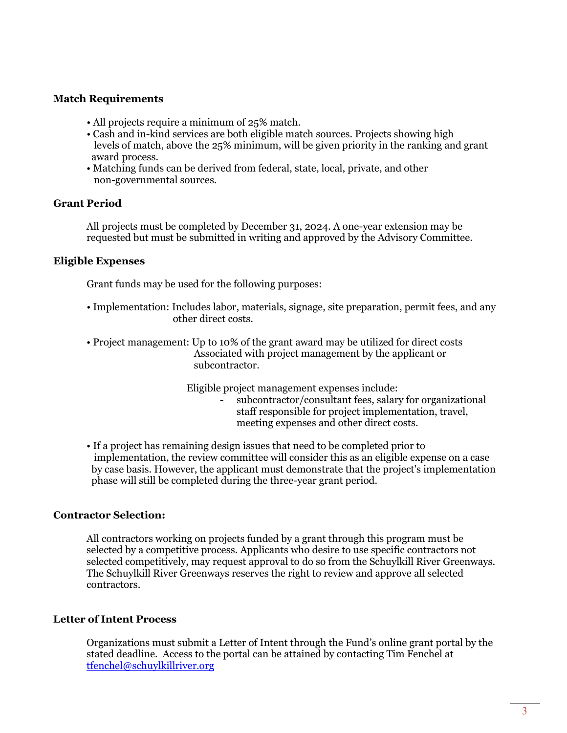# **Match Requirements**

- All projects require a minimum of 25% match.
- Cash and in-kind services are both eligible match sources. Projects showing high levels of match, above the 25% minimum, will be given priority in the ranking and grant award process.
- Matching funds can be derived from federal, state, local, private, and other non-governmental sources.

#### **Grant Period**

All projects must be completed by December 31, 2024. A one-year extension may be requested but must be submitted in writing and approved by the Advisory Committee.

#### **Eligible Expenses**

Grant funds may be used for the following purposes:

- Implementation: Includes labor, materials, signage, site preparation, permit fees, and any other direct costs.
- Project management: Up to 10% of the grant award may be utilized for direct costs Associated with project management by the applicant or subcontractor.

Eligible project management expenses include:

- subcontractor/consultant fees, salary for organizational staff responsible for project implementation, travel, meeting expenses and other direct costs.
- If a project has remaining design issues that need to be completed prior to implementation, the review committee will consider this as an eligible expense on a case by case basis. However, the applicant must demonstrate that the project's implementation phase will still be completed during the three-year grant period.

#### **Contractor Selection:**

All contractors working on projects funded by a grant through this program must be selected by a competitive process. Applicants who desire to use specific contractors not selected competitively, may request approval to do so from the Schuylkill River Greenways. The Schuylkill River Greenways reserves the right to review and approve all selected contractors.

#### **Letter of Intent Process**

Organizations must submit a Letter of Intent through the Fund's online grant portal by the stated deadline. Access to the portal can be attained by contacting Tim Fenchel at [tfenchel@schuylkillriver.org](mailto:tfenchel@schuylkillriver.org)